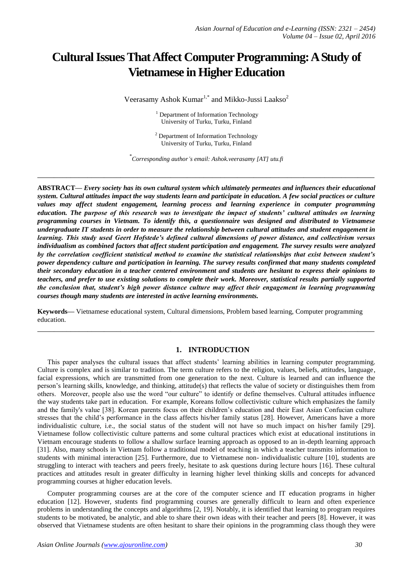# **Cultural Issues That Affect Computer Programming: A Study of Vietnamese in Higher Education**

Veerasamy Ashok Kumar<sup>1,\*</sup> and Mikko-Jussi Laakso<sup>2</sup>

<sup>1</sup> Department of Information Technology University of Turku, Turku, Finland

 $2$  Department of Information Technology University of Turku, Turku, Finland

\* *Corresponding author's email: Ashok.veerasamy [AT] utu.fi*

**\_\_\_\_\_\_\_\_\_\_\_\_\_\_\_\_\_\_\_\_\_\_\_\_\_\_\_\_\_\_\_\_\_\_\_\_\_\_\_\_\_\_\_\_\_\_\_\_\_\_\_\_\_\_\_\_\_\_\_\_\_\_\_\_\_\_\_\_\_\_\_\_\_\_\_\_\_\_\_\_\_**

**ABSTRACT—** *Every society has its own cultural system which ultimately permeates and influences their educational system. Cultural attitudes impact the way students learn and participate in education. A few social practices or culture values may affect student engagement, learning process and learning experience in computer programming education. The purpose of this research was to investigate the impact of students' cultural attitudes on learning programming courses in Vietnam. To identify this, a questionnaire was designed and distributed to Vietnamese undergraduate IT students in order to measure the relationship between cultural attitudes and student engagement in learning. This study used Geert Hofstede's defined cultural dimensions of power distance, and collectivism versus individualism as combined factors that affect student participation and engagement. The survey results were analyzed by the correlation coefficient statistical method to examine the statistical relationships that exist between student's power dependency culture and participation in learning. The survey results confirmed that many students completed their secondary education in a teacher centered environment and students are hesitant to express their opinions to teachers, and prefer to use existing solutions to complete their work. Moreover, statistical results partially supported the conclusion that, student's high power distance culture may affect their engagement in learning programming courses though many students are interested in active learning environments.*

**Keywords—** Vietnamese educational system, Cultural dimensions, Problem based learning, Computer programming education.

**\_\_\_\_\_\_\_\_\_\_\_\_\_\_\_\_\_\_\_\_\_\_\_\_\_\_\_\_\_\_\_\_\_\_\_\_\_\_\_\_\_\_\_\_\_\_\_\_\_\_\_\_\_\_\_\_\_\_\_\_\_\_\_\_\_\_\_\_\_\_\_\_\_\_\_\_\_\_\_\_\_**

## **1. INTRODUCTION**

This paper analyses the cultural issues that affect students" learning abilities in learning computer programming. Culture is complex and is similar to tradition. The term culture refers to the religion, values, beliefs, attitudes, language, facial expressions, which are transmitted from one generation to the next. Culture is learned and can influence the person"s learning skills, knowledge, and thinking, attitude(s) that reflects the value of society or distinguishes them from others. Moreover, people also use the word "our culture" to identify or define themselves. Cultural attitudes influence the way students take part in education. For example, Koreans follow collectivistic culture which emphasizes the family and the family's value [38]. Korean parents focus on their children"s education and their East Asian Confucian culture stresses that the child"s performance in the class affects his/her family status [28]. However, Americans have a more individualistic culture, i.e., the social status of the student will not have so much impact on his/her family [29]. Vietnamese follow collectivistic culture patterns and some cultural practices which exist at educational institutions in Vietnam encourage students to follow a shallow surface learning approach as opposed to an in-depth learning approach [31]. Also, many schools in Vietnam follow a traditional model of teaching in which a teacher transmits information to students with minimal interaction [25]. Furthermore, due to Vietnamese non- individualistic culture [10], students are struggling to interact with teachers and peers freely, hesitate to ask questions during lecture hours [16]. These cultural practices and attitudes result in greater difficulty in learning higher level thinking skills and concepts for advanced programming courses at higher education levels.

Computer programming courses are at the core of the computer science and IT education programs in higher education [12]. However, students find programming courses are generally difficult to learn and often experience problems in understanding the concepts and algorithms [2, 19]. Notably, it is identified that learning to program requires students to be motivated, be analytic, and able to share their own ideas with their teacher and peers [8]. However, it was observed that Vietnamese students are often hesitant to share their opinions in the programming class though they were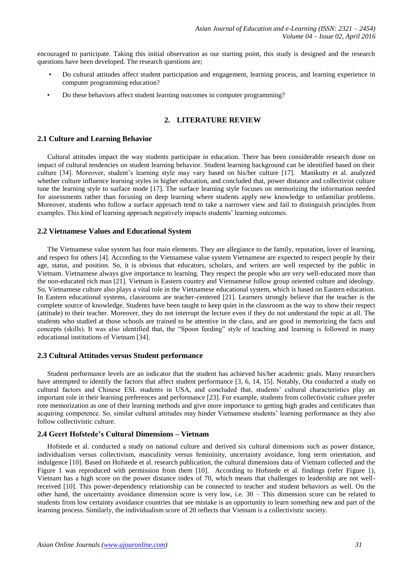encouraged to participate. Taking this initial observation as our starting point, this study is designed and the research questions have been developed. The research questions are;

- Do cultural attitudes affect student participation and engagement, learning process, and learning experience in computer programming education?
- Do these behaviors affect student learning outcomes in computer programming?

## **2. LITERATURE REVIEW**

#### **2.1 Culture and Learning Behavior**

Cultural attitudes impact the way students participate in education. There has been considerable research done on impact of cultural tendencies on student learning behavior. Student learning background can be identified based on their culture [34]. Moreover, student"s learning style may vary based on his/her culture [17]. Manikutty et al. analyzed whether culture influence learning styles in higher education, and concluded that, power distance and collectivist culture tune the learning style to surface mode [17]. The surface learning style focuses on memorizing the information needed for assessments rather than focusing on deep learning where students apply new knowledge to unfamiliar problems. Moreover, students who follow a surface approach tend to take a narrower view and fail to distinguish principles from examples. This kind of learning approach negatively impacts students' learning outcomes.

#### **2.2 Vietnamese Values and Educational System**

The Vietnamese value system has four main elements. They are allegiance to the family, reputation, lover of learning, and respect for others [4]. According to the Vietnamese value system Vietnamese are expected to respect people by their age, status, and position. So, it is obvious that educators, scholars, and writers are well respected by the public in Vietnam. Vietnamese always give importance to learning. They respect the people who are very well-educated more than the non-educated rich man [21]. Vietnam is Eastern country and Vietnamese follow group oriented culture and ideology. So, Vietnamese culture also plays a vital role in the Vietnamese educational system, which is based on Eastern education. In Eastern educational systems, classrooms are teacher-centered [21]. Learners strongly believe that the teacher is the complete source of knowledge. Students have been taught to keep quiet in the classroom as the way to show their respect (attitude) to their teacher. Moreover, they do not interrupt the lecture even if they do not understand the topic at all. The students who studied at those schools are trained to be attentive in the class, and are good in memorizing the facts and concepts (skills). It was also identified that, the "Spoon feeding" style of teaching and learning is followed in many educational institutions of Vietnam [34].

#### **2.3 Cultural Attitudes versus Student performance**

Student performance levels are an indicator that the student has achieved his/her academic goals. Many researchers have attempted to identify the factors that affect student performance [3, 6, 14, 15]. Notably, Ota conducted a study on cultural factors and Chinese ESL students in USA, and concluded that, students" cultural characteristics play an important role in their learning preferences and performance [23]. For example, students from collectivistic culture prefer rote memorization as one of their learning methods and give more importance to getting high grades and certificates than acquiring competence. So, similar cultural attitudes may hinder Vietnamese students" learning performance as they also follow collectivistic culture.

#### **2.4 Geert Hofstede's Cultural Dimensions – Vietnam**

Hofstede et al. conducted a study on national culture and derived six cultural dimensions such as power distance, individualism versus collectivism, masculinity versus femininity, uncertainty avoidance, long term orientation, and indulgence [10]. Based on Hofstede et al. research publication, the cultural dimensions data of Vietnam collected and the Figure 1 was reproduced with permission from them [10]. According to Hofstede et al. findings (refer Figure 1), Vietnam has a high score on the power distance index of 70, which means that challenges to leadership are not wellreceived [10]. This power-dependency relationship can be connected to teacher and student behaviors as well. On the other hand, the uncertainty avoidance dimension score is very low, i.e. 30 – This dimension score can be related to students from low certainty avoidance countries that see mistake is an opportunity to learn something new and part of the learning process. Similarly, the individualism score of 20 reflects that Vietnam is a collectivistic society.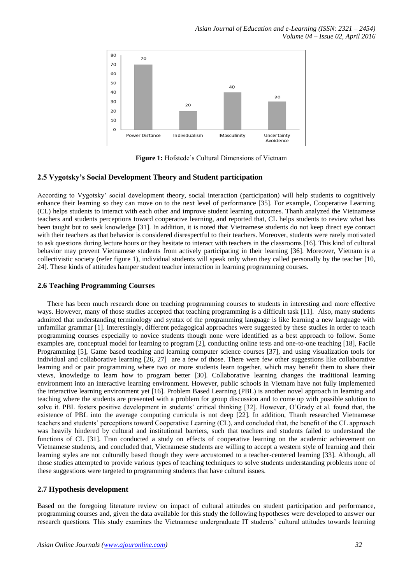

**Figure 1:** Hofstede's Cultural Dimensions of Vietnam

## **2.5 Vygotsky's Social Development Theory and Student participation**

According to Vygotsky" social development theory, social interaction (participation) will help students to cognitively enhance their learning so they can move on to the next level of performance [35]. For example, Cooperative Learning (CL) helps students to interact with each other and improve student learning outcomes. Thanh analyzed the Vietnamese teachers and students perceptions toward cooperative learning, and reported that, CL helps students to review what has been taught but to seek knowledge [31]. In addition, it is noted that Vietnamese students do not keep direct eye contact with their teachers as that behavior is considered disrespectful to their teachers. Moreover, students were rarely motivated to ask questions during lecture hours or they hesitate to interact with teachers in the classrooms [16]. This kind of cultural behavior may prevent Vietnamese students from actively participating in their learning [36]. Moreover, Vietnam is a collectivistic society (refer figure 1), individual students will speak only when they called personally by the teacher [10, 24]. These kinds of attitudes hamper student teacher interaction in learning programming courses.

## **2.6 Teaching Programming Courses**

There has been much research done on teaching programming courses to students in interesting and more effective ways. However, many of those studies accepted that teaching programming is a difficult task [11]. Also, many students admitted that understanding terminology and syntax of the programming language is like learning a new language with unfamiliar grammar [1]. Interestingly, different pedagogical approaches were suggested by these studies in order to teach programming courses especially to novice students though none were identified as a best approach to follow. Some examples are, conceptual model for learning to program [2], conducting online tests and one-to-one teaching [18], Facile Programming [5], Game based teaching and learning computer science courses [37], and using visualization tools for individual and collaborative learning [26, 27] are a few of those. There were few other suggestions like collaborative learning and or pair programming where two or more students learn together, which may benefit them to share their views, knowledge to learn how to program better [30]. Collaborative learning changes the traditional learning environment into an interactive learning environment. However, public schools in Vietnam have not fully implemented the interactive learning environment yet [16]. Problem Based Learning (PBL) is another novel approach in learning and teaching where the students are presented with a problem for group discussion and to come up with possible solution to solve it. PBL fosters positive development in students' critical thinking [32]. However, O'Grady et al. found that, the existence of PBL into the average computing curricula is not deep [22]. In addition, Thanh researched Vietnamese teachers and students" perceptions toward Cooperative Learning (CL), and concluded that, the benefit of the CL approach was heavily hindered by cultural and institutional barriers, such that teachers and students failed to understand the functions of CL [31]. Tran conducted a study on effects of cooperative learning on the academic achievement on Vietnamese students, and concluded that, Vietnamese students are willing to accept a western style of learning and their learning styles are not culturally based though they were accustomed to a teacher-centered learning [33]. Although, all those studies attempted to provide various types of teaching techniques to solve students understanding problems none of these suggestions were targeted to programming students that have cultural issues.

## **2.7 Hypothesis development**

Based on the foregoing literature review on impact of cultural attitudes on student participation and performance, programming courses and, given the data available for this study the following hypotheses were developed to answer our research questions. This study examines the Vietnamese undergraduate IT students" cultural attitudes towards learning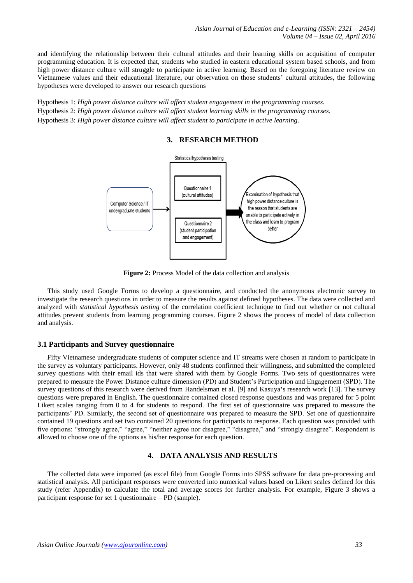and identifying the relationship between their cultural attitudes and their learning skills on acquisition of computer programming education. It is expected that, students who studied in eastern educational system based schools, and from high power distance culture will struggle to participate in active learning. Based on the foregoing literature review on Vietnamese values and their educational literature, our observation on those students" cultural attitudes, the following hypotheses were developed to answer our research questions

Hypothesis 1: *High power distance culture will affect student engagement in the programming courses.* Hypothesis 2: *High power distance culture will affect student learning skills in the programming courses.* Hypothesis 3: *High power distance culture will affect student to participate in active learning*.

## **3. RESEARCH METHOD**



**Figure 2:** Process Model of the data collection and analysis

This study used Google Forms to develop a questionnaire, and conducted the anonymous electronic survey to investigate the research questions in order to measure the results against defined hypotheses. The data were collected and analyzed with *statistical hypothesis testing* of the correlation coefficient technique to find out whether or not cultural attitudes prevent students from learning programming courses. Figure 2 shows the process of model of data collection and analysis.

#### **3.1 Participants and Survey questionnaire**

Fifty Vietnamese undergraduate students of computer science and IT streams were chosen at random to participate in the survey as voluntary participants. However, only 48 students confirmed their willingness, and submitted the completed survey questions with their email ids that were shared with them by Google Forms. Two sets of questionnaires were prepared to measure the Power Distance culture dimension (PD) and Student"s Participation and Engagement (SPD). The survey questions of this research were derived from Handelsman et al. [9] and Kasuya**'**s research work [13]. The survey questions were prepared in English. The questionnaire contained closed response questions and was prepared for 5 point Likert scales ranging from 0 to 4 for students to respond. The first set of questionnaire was prepared to measure the participants" PD. Similarly, the second set of questionnaire was prepared to measure the SPD. Set one of questionnaire contained 19 questions and set two contained 20 questions for participants to response. Each question was provided with five options: "strongly agree," "agree," "neither agree nor disagree," "disagree," and "strongly disagree". Respondent is allowed to choose one of the options as his/her response for each question.

# **4. DATA ANALYSIS AND RESULTS**

The collected data were imported (as excel file) from Google Forms into SPSS software for data pre-processing and statistical analysis. All participant responses were converted into numerical values based on Likert scales defined for this study (refer Appendix) to calculate the total and average scores for further analysis. For example, Figure 3 shows a participant response for set 1 questionnaire – PD (sample).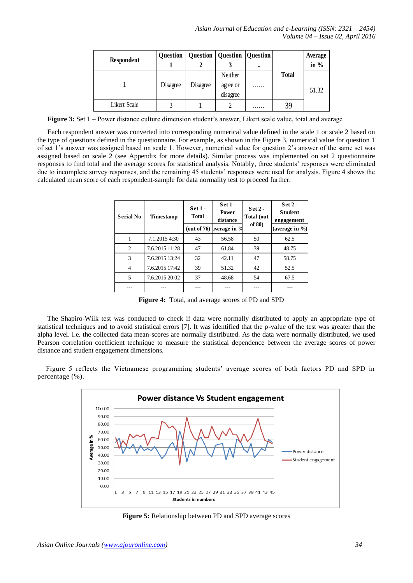| Respondent   |          | Question   Question   Question   Question |                                 | $\bullet\bullet$ |              | Average<br>in $%$ |
|--------------|----------|-------------------------------------------|---------------------------------|------------------|--------------|-------------------|
|              | Disagree | Disagree                                  | Neither<br>agree or<br>disagree | .                | <b>Total</b> | 51.32             |
| Likert Scale |          |                                           |                                 | .                | 39           |                   |

**Figure 3:** Set 1 – Power distance culture dimension student's answer, Likert scale value, total and average

Each respondent answer was converted into corresponding numerical value defined in the scale 1 or scale 2 based on the type of questions defined in the questionnaire. For example, as shown in the Figure 3, numerical value for question 1 of set 1"s answer was assigned based on scale 1. However, numerical value for question 2"s answer of the same set was assigned based on scale 2 (see Appendix for more details). Similar process was implemented on set 2 questionnaire responses to find total and the average scores for statistical analysis. Notably, three students' responses were eliminated due to incomplete survey responses, and the remaining 45 students' responses were used for analysis. Figure 4 shows the calculated mean score of each respondent-sample for data normality test to proceed further.

| <b>Serial No</b> | <b>Timestamp</b> | $Set 1 -$<br><b>Total</b> | $Set 1 -$<br><b>Power</b><br>distance | $Set 2 -$<br>Total (out<br>of $80$ | $Set 2 -$<br><b>Student</b><br>engagement |  |
|------------------|------------------|---------------------------|---------------------------------------|------------------------------------|-------------------------------------------|--|
|                  |                  |                           | (out of 76) average in $%$            |                                    | (average in $\%$ )                        |  |
|                  | 7.1.2015 4:30    | 43                        | 56.58                                 | 50                                 | 62.5                                      |  |
| 2                | 7.6.2015 11:28   | 47                        | 61.84                                 | 39                                 | 48.75                                     |  |
| 3                | 7.6.2015 13:24   | 32                        | 42.11                                 | 47                                 | 58.75                                     |  |
| 4                | 7.6.2015 17:42   | 39                        | 51.32                                 | 42                                 | 52.5                                      |  |
| 5                | 7.6.2015 20:02   | 37                        | 48.68                                 | 54                                 | 67.5                                      |  |
|                  |                  |                           |                                       |                                    |                                           |  |

**Figure 4:** Total, and average scores of PD and SPD

The Shapiro-Wilk test was conducted to check if data were normally distributed to apply an appropriate type of statistical techniques and to avoid statistical errors [7]. It was identified that the p-value of the test was greater than the alpha level. I.e. the collected data mean-scores are normally distributed. As the data were normally distributed, we used Pearson correlation coefficient technique to measure the statistical dependence between the average scores of power distance and student engagement dimensions.

Figure 5 reflects the Vietnamese programming students' average scores of both factors PD and SPD in percentage (%).



**Figure 5:** Relationship between PD and SPD average scores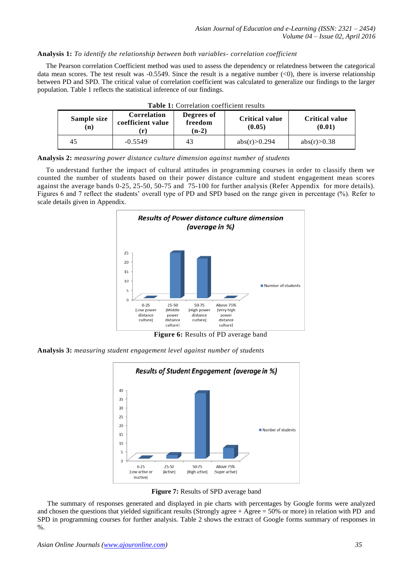## **Analysis 1:** *To identify the relationship between both variables- correlation coefficient*

The Pearson correlation Coefficient method was used to assess the dependency or relatedness between the categorical data mean scores. The test result was  $-0.5549$ . Since the result is a negative number  $(<0)$ , there is inverse relationship between PD and SPD. The critical value of correlation coefficient was calculated to generalize our findings to the larger population. Table 1 reflects the statistical inference of our findings.

| Sample size<br>(n) | Correlation<br>coefficient value | Degrees of<br>freedom<br>$(n-2)$ | <b>Critical value</b><br>(0.05) | <b>Critical value</b><br>(0.01) |
|--------------------|----------------------------------|----------------------------------|---------------------------------|---------------------------------|
| 45                 | $-0.5549$                        | 43                               | abs(r) > 0.294                  | abs(r) > 0.38                   |

**Analysis 2:** *measuring power distance culture dimension against number of students*

To understand further the impact of cultural attitudes in programming courses in order to classify them we counted the number of students based on their power distance culture and student engagement mean scores against the average bands 0-25, 25-50, 50-75 and 75-100 for further analysis (Refer Appendix for more details). Figures 6 and 7 reflect the students" overall type of PD and SPD based on the range given in percentage (%). Refer to scale details given in Appendix.



**Figure 6:** Results of PD average band

**Analysis 3:** *measuring student engagement level against number of students*



**Figure 7:** Results of SPD average band

The summary of responses generated and displayed in pie charts with percentages by Google forms were analyzed and chosen the questions that yielded significant results (Strongly agree + Agree = 50% or more) in relation with PD and SPD in programming courses for further analysis. Table 2 shows the extract of Google forms summary of responses in  $\%$ .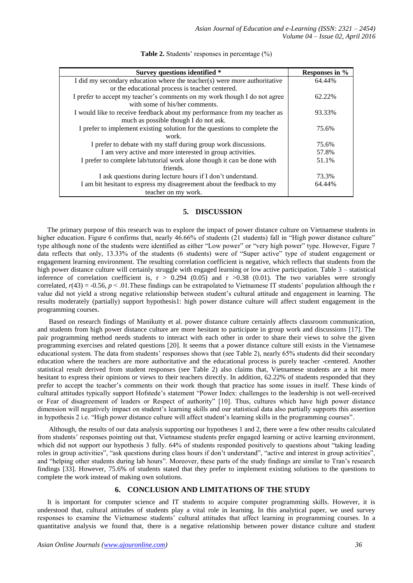| Survey questions identified *                                             | Responses in % |
|---------------------------------------------------------------------------|----------------|
| I did my secondary education where the teacher(s) were more authoritative | 64.44%         |
| or the educational process is teacher centered.                           |                |
| I prefer to accept my teacher's comments on my work though I do not agree | 62.22%         |
| with some of his/her comments.                                            |                |
| I would like to receive feedback about my performance from my teacher as  | 93.33%         |
| much as possible though I do not ask.                                     |                |
| I prefer to implement existing solution for the questions to complete the | 75.6%          |
| work.                                                                     |                |
| I prefer to debate with my staff during group work discussions.           | 75.6%          |
| I am very active and more interested in group activities.                 | 57.8%          |
| I prefer to complete lab/tutorial work alone though it can be done with   | 51.1%          |
| friends.                                                                  |                |
| I ask questions during lecture hours if I don't understand.               | 73.3%          |
| I am bit hesitant to express my disagreement about the feedback to my     | 64.44%         |
| teacher on my work.                                                       |                |

**Table 2.** Students' responses in percentage (%)

## **5. DISCUSSION**

The primary purpose of this research was to explore the impact of power distance culture on Vietnamese students in higher education. Figure 6 confirms that, nearly 46.66% of students (21 students) fall in "High power distance culture" type although none of the students were identified as either "Low power" or "very high power" type. However, Figure 7 data reflects that only, 13.33% of the students (6 students) were of "Super active" type of student engagement or engagement learning environment. The resulting correlation coefficient is negative, which reflects that students from the high power distance culture will certainly struggle with engaged learning or low active participation. Table 3 – statistical inference of correlation coefficient is,  $r > 0.294$  (0.05) and  $r > 0.38$  (0.01). The two variables were strongly correlated,  $r(43) = -0.56$ ,  $p < 0.01$ . These findings can be extrapolated to Vietnamese IT students' population although the r value did not yield a strong negative relationship between student"s cultural attitude and engagement in learning. The results moderately (partially) support hypothesis1: high power distance culture will affect student engagement in the programming courses.

Based on research findings of Manikutty et al. power distance culture certainly affects classroom communication, and students from high power distance culture are more hesitant to participate in group work and discussions [17]. The pair programming method needs students to interact with each other in order to share their views to solve the given programming exercises and related questions [20]. It seems that a power distance culture still exists in the Vietnamese educational system. The data from students' responses shows that (see Table 2), nearly 65% students did their secondary education where the teachers are more authoritative and the educational process is purely teacher -centered. Another statistical result derived from student responses (see Table 2) also claims that, Vietnamese students are a bit more hesitant to express their opinions or views to their teachers directly. In addition, 62.22% of students responded that they prefer to accept the teacher"s comments on their work though that practice has some issues in itself. These kinds of cultural attitudes typically support Hofstede"s statement "Power Index: challenges to the leadership is not well-received or Fear of disagreement of leaders or Respect of authority" [10]. Thus, cultures which have high power distance dimension will negatively impact on student's learning skills and our statistical data also partially supports this assertion in hypothesis 2 i.e. "High power distance culture will affect student"s learning skills in the programming courses".

Although, the results of our data analysis supporting our hypotheses 1 and 2, there were a few other results calculated from students" responses pointing out that, Vietnamese students prefer engaged learning or active learning environment, which did not support our hypothesis 3 fully. 64% of students responded positively to questions about "taking leading roles in group activities", "ask questions during class hours if don"t understand", "active and interest in group activities", and "helping other students during lab hours". Moreover, these parts of the study findings are similar to Tran"s research findings [33]. However, 75.6% of students stated that they prefer to implement existing solutions to the questions to complete the work instead of making own solutions.

## **6. CONCLUSION AND LIMITATIONS OF THE STUDY**

It is important for computer science and IT students to acquire computer programming skills. However, it is understood that, cultural attitudes of students play a vital role in learning. In this analytical paper, we used survey responses to examine the Vietnamese students" cultural attitudes that affect learning in programming courses. In a quantitative analysis we found that, there is a negative relationship between power distance culture and student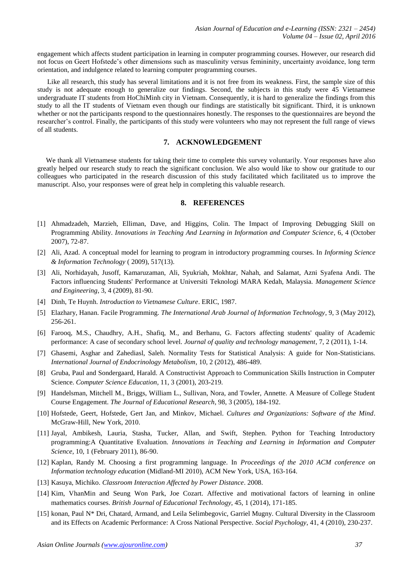engagement which affects student participation in learning in computer programming courses. However, our research did not focus on Geert Hofstede"s other dimensions such as masculinity versus femininity, uncertainty avoidance, long term orientation, and indulgence related to learning computer programming courses.

Like all research, this study has several limitations and it is not free from its weakness. First, the sample size of this study is not adequate enough to generalize our findings. Second, the subjects in this study were 45 Vietnamese undergraduate IT students from HoChiMinh city in Vietnam. Consequently, it is hard to generalize the findings from this study to all the IT students of Vietnam even though our findings are statistically bit significant. Third, it is unknown whether or not the participants respond to the questionnaires honestly. The responses to the questionnaires are beyond the researcher"s control. Finally, the participants of this study were volunteers who may not represent the full range of views of all students.

# **7. ACKNOWLEDGEMENT**

We thank all Vietnamese students for taking their time to complete this survey voluntarily. Your responses have also greatly helped our research study to reach the significant conclusion. We also would like to show our gratitude to our colleagues who participated in the research discussion of this study facilitated which facilitated us to improve the manuscript. Also, your responses were of great help in completing this valuable research.

## **8. REFERENCES**

- [1] Ahmadzadeh, Marzieh, Elliman, Dave, and Higgins, Colin. The Impact of Improving Debugging Skill on Programming Ability. *Innovations in Teaching And Learning in Information and Computer Science*, 6, 4 (October 2007), 72-87.
- [2] Ali, Azad. A conceptual model for learning to program in introductory programming courses. In *Informing Science & Information Technology* ( 2009), 517(13).
- [3] Ali, Norhidayah, Jusoff, Kamaruzaman, Ali, Syukriah, Mokhtar, Nahah, and Salamat, Azni Syafena Andi. The Factors influencing Students' Performance at Universiti Teknologi MARA Kedah, Malaysia. *Management Science and Engineering*, 3, 4 (2009), 81-90.
- [4] Dinh, Te Huynh. *Introduction to Vietnamese Culture*. ERIC, 1987.
- [5] Elazhary, Hanan. Facile Programming. *The International Arab Journal of Information Technology*, 9, 3 (May 2012), 256-261.
- [6] Farooq, M.S., Chaudhry, A.H., Shafiq, M., and Berhanu, G. Factors affecting students' quality of Academic performance: A case of secondary school level. *Journal of quality and technology management*, 7, 2 (2011), 1-14.
- [7] Ghasemi, Asghar and Zahediasl, Saleh. Normality Tests for Statistical Analysis: A guide for Non-Statisticians. *International Journal of Endocrinology Metabolism*, 10, 2 (2012), 486-489.
- [8] Gruba, Paul and Sondergaard, Harald. A Constructivist Approach to Communication Skills Instruction in Computer Science. *Computer Science Education*, 11, 3 (2001), 203-219.
- [9] Handelsman, Mitchell M., Briggs, William L., Sullivan, Nora, and Towler, Annette. A Measure of College Student Course Engagement. *The Journal of Educational Research*, 98, 3 (2005), 184-192.
- [10] Hofstede, Geert, Hofstede, Gert Jan, and Minkov, Michael. *Cultures and Organizations: Software of the Mind*. McGraw-Hill, New York, 2010.
- [11] Jayal, Ambikesh, Lauria, Stasha, Tucker, Allan, and Swift, Stephen. Python for Teaching Introductory programming:A Quantitative Evaluation. *Innovations in Teaching and Learning in Information and Computer Science*, 10, 1 (February 2011), 86-90.
- [12] Kaplan, Randy M. Choosing a first programming language. In *Proceedings of the 2010 ACM conference on Information technology education* (Midland-MI 2010), ACM New York, USA, 163-164.
- [13] Kasuya, Michiko. *Classroom Interaction Affected by Power Distance*. 2008.
- [14] Kim, VhanMin and Seung Won Park, Joe Cozart. Affective and motivational factors of learning in online mathematics courses. *British Journal of Educational Technology*, 45, 1 (2014), 171-185.
- [15] konan, Paul N\* Dri, Chatard, Armand, and Leila Selimbegovic, Garriel Mugny. Cultural Diversity in the Classroom and its Effects on Academic Performance: A Cross National Perspective. *Social Psychology*, 41, 4 (2010), 230-237.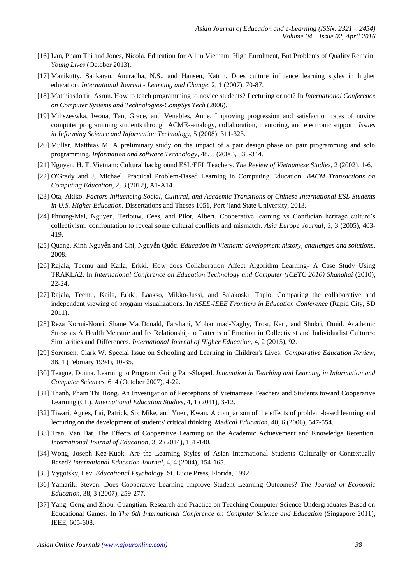- [16] Lan, Pham Thi and Jones, Nicola. Education for All in Vietnam: High Enrolment, But Problems of Quality Remain. *Young Lives* (October 2013).
- [17] Manikutty, Sankaran, Anuradha, N.S., and Hansen, Katrin. Does culture influence learning styles in higher education. *International Journal - Learning and Change*, 2, 1 (2007), 70-87.
- [18] Matthiasdottir, Asrun. How to teach programming to novice students? Lecturing or not? In *International Conference on Computer Systems and Technologies-CompSys Tech* (2006).
- [19] Miliszeswka, Iwona, Tan, Grace, and Venables, Anne. Improving progression and satisfaction rates of novice computer programming students through ACME--analogy, collaboration, mentoring, and electronic support. *Issues in Informing Science and Information Technology*, 5 (2008), 311-323.
- [20] Muller, Matthias M. A preliminary study on the impact of a pair design phase on pair programming and solo programming. *Information and software Technology*, 48, 5 (2006), 335-344.
- [21] Nguyen, H. T. Vietnam: Cultural background ESL/EFL Teachers. *The Review of Vietnamese Studies*, 2 (2002), 1-6.
- [22] O'Grady and J, Michael. Practical Problem-Based Learning in Computing Education. *BACM Transactions on Computing Education*, 2, 3 (2012), A1-A14.
- [23] Ota, Akiko. *Factors Influencing Social, Cultural, and Academic Transitions of Chinese International ESL Students in U.S. Higher Education*. Dissertations and Theses 1051, Port "land State University, 2013.
- [24] Phuong-Mai, Nguyen, Terlouw, Cees, and Pilot, Albert. Cooperative learning vs Confucian heritage culture's collectivism: confrontation to reveal some cultural conflicts and mismatch. *Asia Europe Journal*, 3, 3 (2005), 403- 419.
- [25] Quang, Kính Nguyễn and Chí, Nguyễn Quốc. *Education in Vietnam: development history, challenges and solutions*. 2008.
- [26] Rajala, Teemu and Kaila, Erkki. How does Collaboration Affect Algorithm Learning- A Case Study Using TRAKLA2. In *International Conference on Education Technology and Computer (ICETC 2010) Shanghai* (2010), 22-24.
- [27] Rajala, Teemu, Kaila, Erkki, Laakso, Mikko-Jussi, and Salakoski, Tapio. Comparing the collaborative and independent viewing of program visualizations. In *ASEE-IEEE Frontiers in Education Conference* (Rapid City, SD 2011).
- [28] Reza Kormi-Nouri, Shane MacDonald, Farahani, Mohammad-Naghy, Trost, Kari, and Shokri, Omid. Academic Stress as A Health Measure and Its Relationship to Patterns of Emotion in Collectivist and Individualist Cultures: Similarities and Differences. *International Journal of Higher Education*, 4, 2 (2015), 92.
- [29] Sorensen, Clark W. Special Issue on Schooling and Learning in Children's Lives. *Comparative Education Review*, 38, 1 (February 1994), 10-35.
- [30] Teague, Donna. Learning to Program: Going Pair-Shaped. *Innovation in Teaching and Learning in Information and Computer Sciences*, 6, 4 (October 2007), 4-22.
- [31] Thanh, Pham Thi Hong. An Investigation of Perceptions of Vietnamese Teachers and Students toward Cooperative Learning (CL). *International Education Studies*, 4, 1 (2011), 3-12.
- [32] Tiwari, Agnes, Lai, Patrick, So, Mike, and Yuen, Kwan. A comparison of the effects of problem-based learning and lecturing on the development of students' critical thinking. *Medical Education*, 40, 6 (2006), 547-554.
- [33] Tran, Van Dat. The Effects of Cooperative Learning on the Academic Achievement and Knowledge Retention. *International Journal of Education*, 3, 2 (2014), 131-140.
- [34] Wong, Joseph Kee-Kuok. Are the Learning Styles of Asian International Students Culturally or Contextually Based? *International Education Journal*, 4, 4 (2004), 154-165.
- [35] Vygotsky, Lev. *Educational Psychology*. St. Lucie Press, Florida, 1992.
- [36] Yamarik, Steven. Does Cooperative Learning Improve Student Learning Outcomes? *The Journal of Economic Education*, 38, 3 (2007), 259-277.
- [37] Yang, Geng and Zhou, Guangtian. Research and Practice on Teaching Computer Science Undergraduates Based on Educational Games. In *The 6th International Conference on Computer Science and Education* (Singapore 2011), IEEE, 605-608.